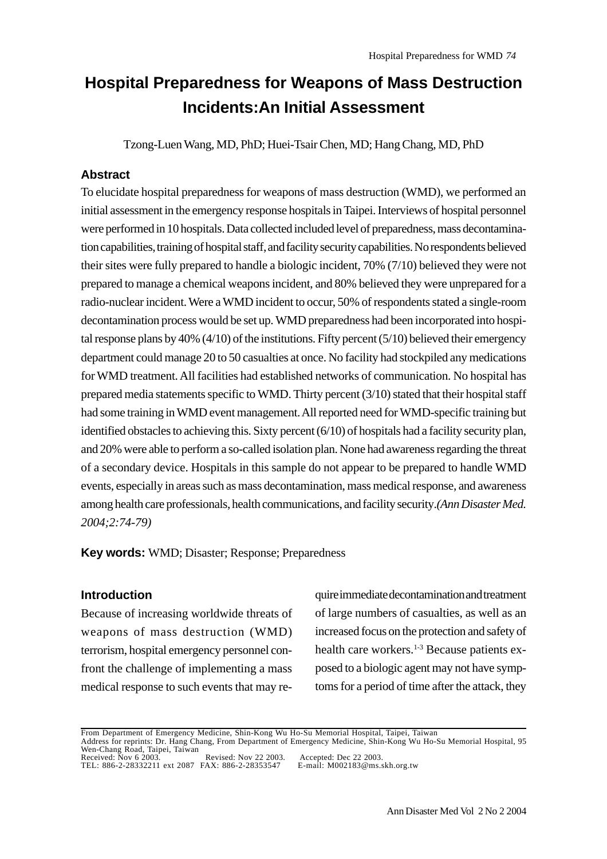# **Hospital Preparedness for Weapons of Mass Destruction Incidents:An Initial Assessment**

Tzong-Luen Wang, MD, PhD; Huei-Tsair Chen, MD; Hang Chang, MD, PhD

## **Abstract**

To elucidate hospital preparedness for weapons of mass destruction (WMD), we performed an initial assessment in the emergency response hospitals in Taipei. Interviews of hospital personnel were performed in 10 hospitals. Data collected included level of preparedness, mass decontamination capabilities, training of hospital staff, and facility security capabilities. No respondents believed their sites were fully prepared to handle a biologic incident, 70% (7/10) believed they were not prepared to manage a chemical weapons incident, and 80% believed they were unprepared for a radio-nuclear incident. Were a WMD incident to occur, 50% of respondents stated a single-room decontamination process would be set up. WMD preparedness had been incorporated into hospital response plans by 40% (4/10) of the institutions. Fifty percent (5/10) believed their emergency department could manage 20 to 50 casualties at once. No facility had stockpiled any medications for WMD treatment. All facilities had established networks of communication. No hospital has prepared media statements specific to WMD. Thirty percent (3/10) stated that their hospital staff had some training in WMD event management. All reported need for WMD-specific training but identified obstacles to achieving this. Sixty percent (6/10) of hospitals had a facility security plan, and 20% were able to perform a so-called isolation plan. None had awareness regarding the threat of a secondary device. Hospitals in this sample do not appear to be prepared to handle WMD events, especially in areas such as mass decontamination, mass medical response, and awareness among health care professionals, health communications, and facility security.*(Ann Disaster Med. 2004;2:74-79)*

**Key words:** WMD; Disaster; Response; Preparedness

## **Introduction**

Because of increasing worldwide threats of weapons of mass destruction (WMD) terrorism, hospital emergency personnel confront the challenge of implementing a mass medical response to such events that may require immediate decontamination and treatment of large numbers of casualties, as well as an increased focus on the protection and safety of health care workers.<sup>1-3</sup> Because patients exposed to a biologic agent may not have symptoms for a period of time after the attack, they

From Department of Emergency Medicine, Shin-Kong Wu Ho-Su Memorial Hospital, Taipei, Taiwan Address for reprints: Dr. Hang Chang, From Department of Emergency Medicine, Shin-Kong Wu Ho-Su Memorial Hospital, 95 Wen-Chang Road, Taipei, Taiwan Received: Nov 6 2003. Revised: Nov 22 2003. Accepted: Dec 22 2003.

TEL: 886-2-28332211 ext 2087 FAX: 886-2-28353547 E-mail: M002183@ms.skh.org.tw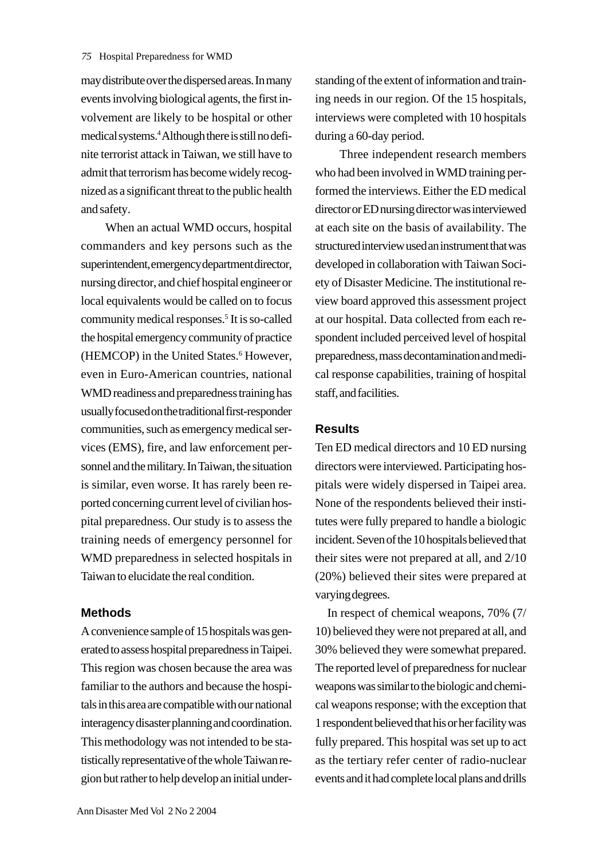may distribute over the dispersed areas. In many events involving biological agents, the first involvement are likely to be hospital or other medical systems.4 Although there is still no definite terrorist attack in Taiwan, we still have to admit that terrorism has become widely recognized as a significant threat to the public health and safety.

When an actual WMD occurs, hospital commanders and key persons such as the superintendent, emergency department director, nursing director, and chief hospital engineer or local equivalents would be called on to focus community medical responses.<sup>5</sup> It is so-called the hospital emergency community of practice (HEMCOP) in the United States.<sup>6</sup> However, even in Euro-American countries, national WMD readiness and preparedness training has usually focused on the traditional first-responder communities, such as emergency medical services (EMS), fire, and law enforcement personnel and the military. In Taiwan, the situation is similar, even worse. It has rarely been reported concerning current level of civilian hospital preparedness. Our study is to assess the training needs of emergency personnel for WMD preparedness in selected hospitals in Taiwan to elucidate the real condition.

#### **Methods**

A convenience sample of 15 hospitals was generated to assess hospital preparedness in Taipei. This region was chosen because the area was familiar to the authors and because the hospitals in this area are compatible with our national interagency disaster planning and coordination. This methodology was not intended to be statistically representative of the whole Taiwan region but rather to help develop an initial understanding of the extent of information and training needs in our region. Of the 15 hospitals, interviews were completed with 10 hospitals during a 60-day period.

Three independent research members who had been involved in WMD training performed the interviews. Either the ED medical director or ED nursing director was interviewed at each site on the basis of availability. The structured interview used an instrument that was developed in collaboration with Taiwan Society of Disaster Medicine. The institutional review board approved this assessment project at our hospital. Data collected from each respondent included perceived level of hospital preparedness, mass decontamination and medical response capabilities, training of hospital staff, and facilities.

### **Results**

Ten ED medical directors and 10 ED nursing directors were interviewed. Participating hospitals were widely dispersed in Taipei area. None of the respondents believed their institutes were fully prepared to handle a biologic incident. Seven of the 10 hospitals believed that their sites were not prepared at all, and 2/10 (20%) believed their sites were prepared at varying degrees.

 In respect of chemical weapons, 70% (7/ 10) believed they were not prepared at all, and 30% believed they were somewhat prepared. The reported level of preparedness for nuclear weapons was similar to the biologic and chemical weapons response; with the exception that 1 respondent believed that his or her facility was fully prepared. This hospital was set up to act as the tertiary refer center of radio-nuclear events and it had complete local plans and drills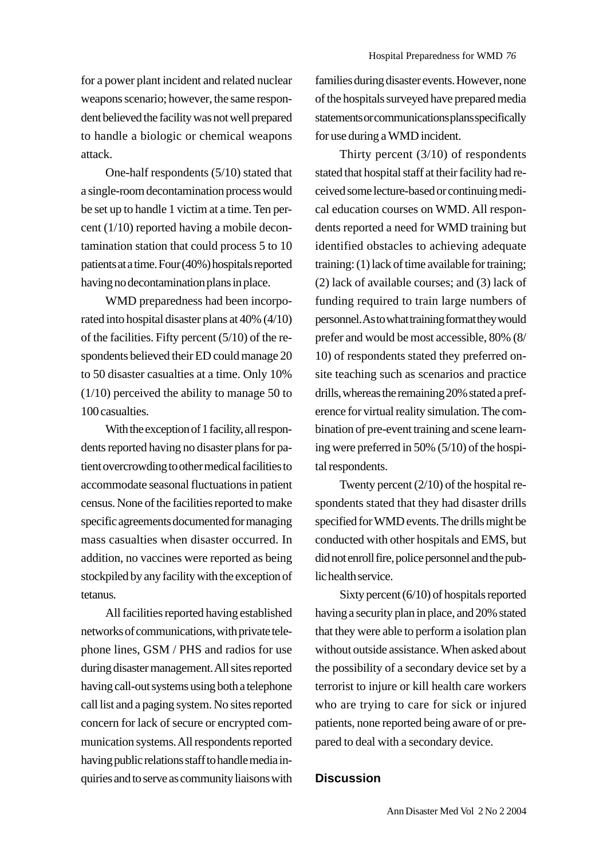for a power plant incident and related nuclear weapons scenario; however, the same respondent believed the facility was not well prepared to handle a biologic or chemical weapons attack.

One-half respondents (5/10) stated that a single-room decontamination process would be set up to handle 1 victim at a time. Ten percent (1/10) reported having a mobile decontamination station that could process 5 to 10 patients at a time. Four (40%) hospitals reported having no decontamination plans in place.

WMD preparedness had been incorporated into hospital disaster plans at 40% (4/10) of the facilities. Fifty percent (5/10) of the respondents believed their ED could manage 20 to 50 disaster casualties at a time. Only 10% (1/10) perceived the ability to manage 50 to 100 casualties.

With the exception of 1 facility, all respondents reported having no disaster plans for patient overcrowding to other medical facilities to accommodate seasonal fluctuations in patient census. None of the facilities reported to make specific agreements documented for managing mass casualties when disaster occurred. In addition, no vaccines were reported as being stockpiled by any facility with the exception of tetanus.

All facilities reported having established networks of communications, with private telephone lines, GSM / PHS and radios for use during disaster management. All sites reported having call-out systems using both a telephone call list and a paging system. No sites reported concern for lack of secure or encrypted communication systems. All respondents reported having public relations staff to handle media inquiries and to serve as community liaisons with families during disaster events. However, none of the hospitals surveyed have prepared media statements or communications plans specifically for use during a WMD incident.

Thirty percent (3/10) of respondents stated that hospital staff at their facility had received some lecture-based or continuing medical education courses on WMD. All respondents reported a need for WMD training but identified obstacles to achieving adequate training: (1) lack of time available for training; (2) lack of available courses; and (3) lack of funding required to train large numbers of personnel. As to what training format they would prefer and would be most accessible, 80% (8/ 10) of respondents stated they preferred onsite teaching such as scenarios and practice drills, whereas the remaining 20% stated a preference for virtual reality simulation. The combination of pre-event training and scene learning were preferred in 50% (5/10) of the hospital respondents.

Twenty percent (2/10) of the hospital respondents stated that they had disaster drills specified for WMD events. The drills might be conducted with other hospitals and EMS, but did not enroll fire, police personnel and the public health service.

Sixty percent (6/10) of hospitals reported having a security plan in place, and 20% stated that they were able to perform a isolation plan without outside assistance. When asked about the possibility of a secondary device set by a terrorist to injure or kill health care workers who are trying to care for sick or injured patients, none reported being aware of or prepared to deal with a secondary device.

#### **Discussion**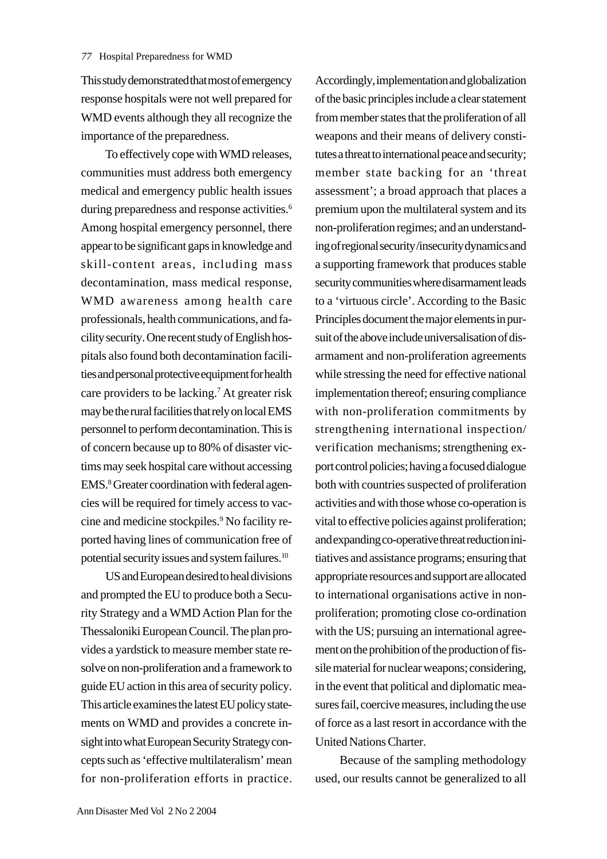This study demonstrated that most of emergency response hospitals were not well prepared for WMD events although they all recognize the importance of the preparedness.

To effectively cope with WMD releases, communities must address both emergency medical and emergency public health issues during preparedness and response activities.<sup>6</sup> Among hospital emergency personnel, there appear to be significant gaps in knowledge and skill-content areas, including mass decontamination, mass medical response, WMD awareness among health care professionals, health communications, and facility security. One recent study of English hospitals also found both decontamination facilities and personal protective equipment for health care providers to be lacking.7 At greater risk may be the rural facilities that rely on local EMS personnel to perform decontamination. This is of concern because up to 80% of disaster victims may seek hospital care without accessing EMS.<sup>8</sup> Greater coordination with federal agencies will be required for timely access to vaccine and medicine stockpiles.9 No facility reported having lines of communication free of potential security issues and system failures.10

US and European desired to heal divisions and prompted the EU to produce both a Security Strategy and a WMD Action Plan for the Thessaloniki European Council. The plan provides a yardstick to measure member state resolve on non-proliferation and a framework to guide EU action in this area of security policy. This article examines the latest EU policy statements on WMD and provides a concrete insight into what European Security Strategy concepts such as 'effective multilateralism' mean for non-proliferation efforts in practice.

Accordingly, implementation and globalization of the basic principles include a clear statement from member states that the proliferation of all weapons and their means of delivery constitutes a threat to international peace and security; member state backing for an 'threat assessment'; a broad approach that places a premium upon the multilateral system and its non-proliferation regimes; and an understanding of regional security /insecurity dynamics and a supporting framework that produces stable security communities where disarmament leads to a 'virtuous circle'. According to the Basic Principles document the major elements in pursuit of the above include universalisation of disarmament and non-proliferation agreements while stressing the need for effective national implementation thereof; ensuring compliance with non-proliferation commitments by strengthening international inspection/ verification mechanisms; strengthening export control policies; having a focused dialogue both with countries suspected of proliferation activities and with those whose co-operation is vital to effective policies against proliferation; and expanding co-operative threat reduction initiatives and assistance programs; ensuring that appropriate resources and support are allocated to international organisations active in nonproliferation; promoting close co-ordination with the US; pursuing an international agreement on the prohibition of the production of fissile material for nuclear weapons; considering, in the event that political and diplomatic measures fail, coercive measures, including the use of force as a last resort in accordance with the United Nations Charter.

Because of the sampling methodology used, our results cannot be generalized to all